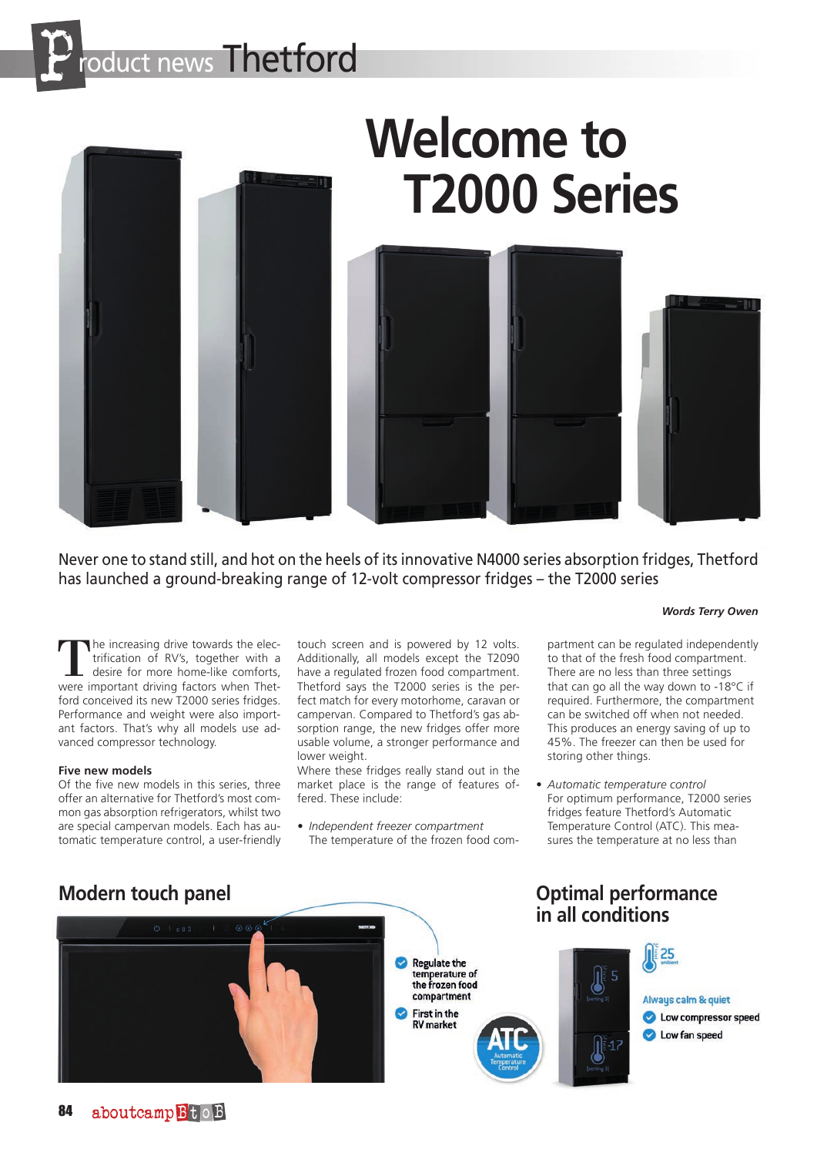



# **Welcome to T2000 Series**



Never one to stand still, and hot on the heels of its innovative N4000 series absorption fridges, Thetford has launched a ground-breaking range of 12-volt compressor fridges – the T2000 series

The increasing drive towards the electrification of RV's, together with a desire for more home-like comforts, were important driving factors when Thetford conceived its new T2000 series fridges. Performance and weight were also important factors. That's why all models use advanced compressor technology.

#### **Five new models**

Of the five new models in this series, three offer an alternative for Thetford's most common gas absorption refrigerators, whilst two are special campervan models. Each has automatic temperature control, a user-friendly touch screen and is powered by 12 volts. Additionally, all models except the T2090 have a regulated frozen food compartment. Thetford says the T2000 series is the perfect match for every motorhome, caravan or campervan. Compared to Thetford's gas absorption range, the new fridges offer more usable volume, a stronger performance and lower weight.

Where these fridges really stand out in the market place is the range of features offered. These include:

*• Independent freezer compartment* The temperature of the frozen food com-

**RV** market

#### *Words Terry Owen*

partment can be regulated independently to that of the fresh food compartment. There are no less than three settings that can go all the way down to -18°C if required. Furthermore, the compartment can be switched off when not needed. This produces an energy saving of up to 45%. The freezer can then be used for storing other things.

*• Automatic temperature control* For optimum performance, T2000 series fridges feature Thetford's Automatic Temperature Control (ATC). This measures the temperature at no less than



# **in all conditions**